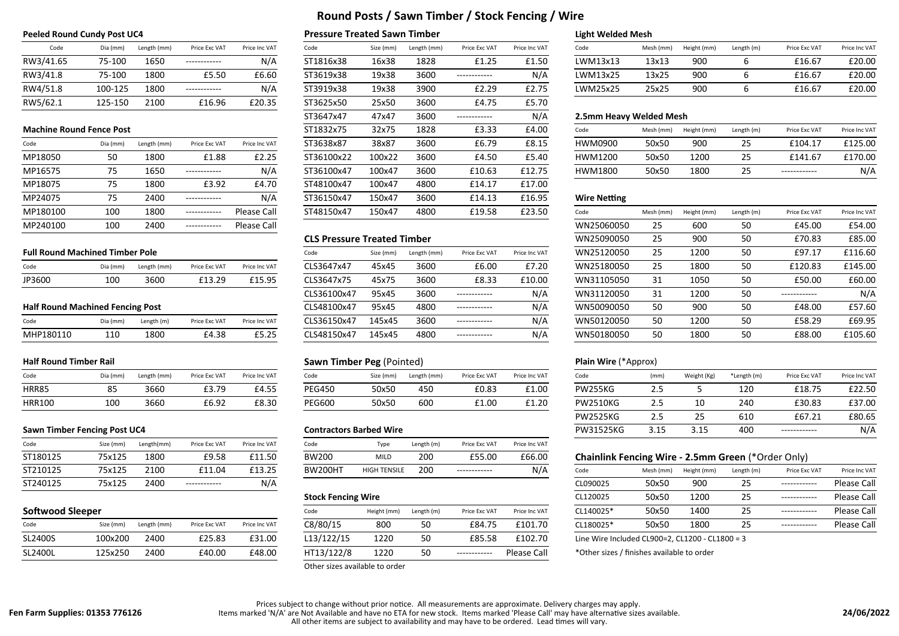| Code      | Dia (mm) | Length (mm) | Price Exc VAT | Price Inc VA |
|-----------|----------|-------------|---------------|--------------|
| RW3/41.65 | 75-100   | 1650        |               | N/l          |
| RW3/41.8  | 75-100   | 1800        | £5.50         | £6.60        |
| RW4/51.8  | 100-125  | 1800        | ----------    | N/l          |
| RW5/62.1  | 125-150  | 2100        | £16.96        | £20.35       |

| Code     | Dia (mm) | Length (mm) | Price Exc VAT | Price Inc VAT | ST3638x87  | 38x87  | 3600 | £6.79  | £8.15  | HWM0900             |
|----------|----------|-------------|---------------|---------------|------------|--------|------|--------|--------|---------------------|
| MP18050  | 50       | 1800        | £1.88         | £2.25         | ST36100x22 | 100x22 | 3600 | £4.50  | £5.40  | HWM1200             |
| MP16575  | 75       | 1650        | ------------  | N/A           | ST36100x47 | 100x47 | 3600 | £10.63 | £12.75 | HWM1800             |
| MP18075  | 75       | 1800        | £3.92         | £4.70         | ST48100x47 | 100x47 | 4800 | £14.17 | £17.00 |                     |
| MP24075  | 75       | 2400        | ------------  | N/A           | ST36150x47 | 150x47 | 3600 | £14.13 | £16.95 | <b>Wire Netting</b> |
| MP180100 | 100      | 1800        | ------------  | Please Call   | ST48150x47 | 150x47 | 4800 | £19.58 | £23.50 | Code                |
| MP240100 | 100      | 2400        | ------------  | Please Call   |            |        |      |        |        | WN2506005           |

### **Full Round Machined Timber Pole**

| Code   | Dia (mm) | Length (mm) | Price Exc VAT | Price Inc VAT |
|--------|----------|-------------|---------------|---------------|
| JP3600 | 100      | 3600        | £13.29        | £15.95        |

### **Half Round Machined Fencing Post**

| Code      | Dia (mm) | Length (m) | Price Exc VAT | Price Inc VAT |
|-----------|----------|------------|---------------|---------------|
| MHP180110 | 110      | 1800       | £4.38         | £5.25         |

### **Half Round Timber Rail**

| Code          | Dia (mm) | Length (mm) | Price Exc VAT | Price Inc VAT |
|---------------|----------|-------------|---------------|---------------|
| HRR85         | 85       | 3660        | £3.79         | £4.55         |
| <b>HRR100</b> | 100      | 3660        | £6.92         | £8.30         |

### **Sawn Timber Fencing Post UC4 <b>Contractors Barbed Wire Contractors Barbed Wire**

| Code     | Size (mm) | Length(mm) | Price Exc VAT  | Price Inc VAT | Code           | Type                | Length (m) | Price Exc VAT | Price Inc VAT |                                                    |           |             |            |               |               |
|----------|-----------|------------|----------------|---------------|----------------|---------------------|------------|---------------|---------------|----------------------------------------------------|-----------|-------------|------------|---------------|---------------|
| ST180125 | 75x125    | 1800       | FQ 58<br>⊥J.J∪ | £11.50        | <b>BW200</b>   | MILL                | 200        | £55.00        | £66.00        | Chainlink Fencing Wire - 2.5mm Green (*Order Only) |           |             |            |               |               |
| ST210125 | 75x125    | 2100       | £11.04         | £13.25        | <b>BW200HT</b> | <b>HIGH TENSILE</b> | 200        | ------------- | N/A           | Code                                               | Mesh (mm) | Height (mm) | Length (m) | Price Exc VAT | Price Inc VAT |
| ST240125 | 75x125    | 2400       | -------------  | N/A           |                |                     |            |               |               | CL090025                                           | 50x50     | 900         |            | ------------- | Please Call   |

**Fen Farm Supplies: 01353 776126**

| Code    | Size (mm) | Length (mm) | Price Exc VAT | Price Inc VAT | C8/80/15   | 800  |    | £84.75       | £101.70     | CL180025* | 50x50                                           | 1800 | ------------- | Please Call |
|---------|-----------|-------------|---------------|---------------|------------|------|----|--------------|-------------|-----------|-------------------------------------------------|------|---------------|-------------|
| SL2400S | 100x200   | 2400        | £25.83        | £31.00        | L13/122/15 | 1220 | 50 | £85.58       | £102.70     |           | Line Wire Included CL900=2, CL1200 - CL1800 = 3 |      |               |             |
| SL2400L | 125x250   | 2400        | £40.00        | £48.00        | HT13/122/8 | 1220 |    | ------------ | Please Call |           | *Other sizes / finishes available to order      |      |               |             |

# **Round Posts / Sawn Timber / Stock Fencing / Wire**

### **Peeled Round Cundy Post UC4 Pressure Treated Sawn Timber Light Welded Mesh**

| Code                            | Dia (mm) | Length (mm) | Price Exc VAT | Price Inc VAT | Code       | Size (mm) | Length (mm) | Price Exc VAT | Price Inc VAT |
|---------------------------------|----------|-------------|---------------|---------------|------------|-----------|-------------|---------------|---------------|
| RW3/41.65                       | 75-100   | 1650        |               | N/A           | ST1816x38  | 16x38     | 1828        | £1.25         | £1.50         |
| RW3/41.8                        | 75-100   | 1800        | £5.50         | £6.60         | ST3619x38  | 19x38     | 3600        |               | N/A           |
| RW4/51.8                        | 100-125  | 1800        |               | N/A           | ST3919x38  | 19x38     | 3900        | £2.29         | £2.75         |
| RW5/62.1                        | 125-150  | 2100        | £16.96        | £20.35        | ST3625x50  | 25x50     | 3600        | £4.75         | £5.70         |
|                                 |          |             |               |               | ST3647x47  | 47x47     | 3600        |               | N/A           |
| <b>Machine Round Fence Post</b> |          |             |               |               | ST1832x75  | 32x75     | 1828        | £3.33         | £4.00         |
| Code                            | Dia (mm) | Length (mm) | Price Exc VAT | Price Inc VAT | ST3638x87  | 38x87     | 3600        | £6.79         | £8.15         |
| MP18050                         | 50       | 1800        | £1.88         | £2.25         | ST36100x22 | 100x22    | 3600        | £4.50         | £5.40         |
| MP16575                         | 75       | 1650        |               | N/A           | ST36100x47 | 100x47    | 3600        | £10.63        | £12.75        |
| MP18075                         | 75       | 1800        | £3.92         | £4.70         | ST48100x47 | 100x47    | 4800        | £14.17        | £17.00        |
| MP24075                         | 75       | 2400        |               | N/A           | ST36150x47 | 150x47    | 3600        | £14.13        | £16.95        |
| MP180100                        | 100      | 1800        |               | Please Call   | ST48150x47 | 150x47    | 4800        | £19.58        | £23.50        |
|                                 |          |             |               |               |            |           |             |               |               |

### **CLS Pressure Treated Timber**

| Code        | Size (mm) | Length (mm) | Price Exc VAT | Price Inc VAT |
|-------------|-----------|-------------|---------------|---------------|
| CLS3647x47  | 45x45     | 3600        | £6.00         | £7.20         |
| CLS3647x75  | 45x75     | 3600        | £8.33         | £10.00        |
| CLS36100x47 | 95x45     | 3600        | -----------   | N/A           |
| CLS48100x47 | 95x45     | 4800        | ----------    | N/A           |
| CLS36150x47 | 145x45    | 3600        | ----------    | N/A           |
| CLS48150x47 | 145x45    | 4800        | -----------   | N/A           |

## **Sawn Timber Peg** (Pointed) **Plain Wire** (\*Approx)

| Code          | Size (mm) | Length (mm) | Price Exc VAT | Price Inc VAT |
|---------------|-----------|-------------|---------------|---------------|
| <b>PEG450</b> | 50x50     | 450         | £0.83         | £1.00         |
| <b>PEG600</b> | 50x50     | 600         | £1.00         | £1.20         |

| Code           | Tvpe                | Length (m) | Price Exc VAT | Price Inc VAT |
|----------------|---------------------|------------|---------------|---------------|
| BW200          | <b>MILD</b>         | 200        | £55.00        | £66.00        |
| <b>BW200HT</b> | <b>HIGH TENSILE</b> | 200        | ------------  | N/A           |

| Code       | Height (mm) | Length (m) | Price Exc VAT | Price Inc VAT | CL140025*                                  | 50x50 | 1400 |
|------------|-------------|------------|---------------|---------------|--------------------------------------------|-------|------|
| C8/80/15   | 800         | 50         | £84.75        | £101.70       | CL180025*                                  | 50x50 | 1800 |
| L13/122/15 | 1220        | 50         | £85.58        | £102.70       | Line Wire Included CL900=2. CL1200 - CI    |       |      |
| HT13/122/8 | 1220        | 50         |               | Please Call   | *Other sizes / finishes available to order |       |      |

### Other sizes available to order

|                  |                          |               |               | <b>Stock Fencing Wire</b> |             |            | CL12002       | 50x50         | 1200      | ------------ | Please Call |               |             |
|------------------|--------------------------|---------------|---------------|---------------------------|-------------|------------|---------------|---------------|-----------|--------------|-------------|---------------|-------------|
| Softwood Sleeper |                          |               |               | Code                      | Height (mm) | Length (m) | Price Exc VAT | Price Inc VAT | CL140025' | 50x50        | 1400        | ------------- | Please Call |
| Code             | Size (mm)<br>Length (mm) | Price Exc VAT | Price Inc VAT | C8/80/15                  | 80C         |            | £84.75        | £101.70       | CL180025  | 50x50        | 1800        | ------------- | Please Call |

| Code      | Dia (mm) | Length (mm) | Price Exc VAT | Price Inc VAT | Code      | Size (mm) | Length (mm) | Price Exc VAT | Price Inc VAT | Code |          | Mesh (mm) | Height (mm) | Length (m) | Price Exc VAT | Price Inc VAT |
|-----------|----------|-------------|---------------|---------------|-----------|-----------|-------------|---------------|---------------|------|----------|-----------|-------------|------------|---------------|---------------|
| RW3/41.65 | 75-100   | 1650        | ------------- | N/A           | ST1816x38 | 16x38     | 1828        | £1.25         | £1.50         |      | LWM13x13 | 13x13     | 900         |            | £16.67        | £20.00        |
| RW3/41.8  | 75-100   | 1800        | £5.50         | £6.60         | ST3619x38 | 19x38     | 3600        | ------------- | N/A           |      | LWM13x25 | 13x25     | 900         |            | £16.67        | £20.00        |
| RW4/51.8  | 100-125  | 1800        | ------------- | N/A           | ST3919x38 | 19x38     | 3900        | £2.29         | £2.75         |      | LWM25x25 | 25x25     | 900         |            | £16.67        | £20.00        |

### **2.5mm Heavy Welded Mesh**

| <b>Machine Round Fence Post</b> |          |             |               |               | ST1832x75  | 32x75  | 1828 | £3.33  | £4.00  | Code    | Mesh (mm) | Height (mm) | Length (m)          | Price Exc VAT | Price Inc VAT |
|---------------------------------|----------|-------------|---------------|---------------|------------|--------|------|--------|--------|---------|-----------|-------------|---------------------|---------------|---------------|
| Code                            | Dia (mm) | Length (mm) | Price Exc VAT | Price Inc VAT | ST3638x87  | 38x87  | 3600 | £6.79  | £8.15  | HWM0900 | 50x50     | 900         | $\sim$ $\sim$<br>25 | £104.17       | £125.00       |
| MP18050                         |          | 1800        | £1.88         |               | ST36100x22 | 100x22 | 3600 | £4.50  | £5.40  | HWM1200 | 50x50     | 1200        | 25                  | £141.67       | £170.00       |
| MP16575                         |          | 1650        | ------------- | N/A           | ST36100x47 | 100x47 | 3600 | £10.63 | £12.75 | HWM1800 | 50x50     | 1800        | $\sim$ $-$<br>ر ے   | ------------- | N/t           |

| MP180100                                | 100      | 1800        | ------------  | Please Call   | ST48150x47                         | 150x47    | 4800        | £19.58        | £23.50        | Code       | Mesh (mm) | Height (mm) | Length (m) | Price Exc VAT | Price Inc VAT |
|-----------------------------------------|----------|-------------|---------------|---------------|------------------------------------|-----------|-------------|---------------|---------------|------------|-----------|-------------|------------|---------------|---------------|
| MP240100                                | 100      | 2400        | ------------- | Please Call   |                                    |           |             |               |               | WN25060050 | 25        | 600         | 50         | £45.00        | £54.00        |
|                                         |          |             |               |               | <b>CLS Pressure Treated Timber</b> |           |             |               |               | WN25090050 | 25        | 900         | 50         | £70.83        | £85.00        |
| <b>Full Round Machined Timber Pole</b>  |          |             |               |               | Code                               | Size (mm) | Length (mm) | Price Exc VAT | Price Inc VAT | WN25120050 | 25        | 1200        | 50         | £97.17        | £116.60       |
| Code                                    | Dia (mm) | Length (mm) | Price Exc VAT | Price Inc VAT | CLS3647x47                         | 45x45     | 3600        | £6.00         | £7.20         | WN25180050 | 25        | 1800        | 50         | £120.83       | £145.00       |
| JP3600                                  | 100      | 3600        | £13.29        | £15.95        | CLS3647x75                         | 45x75     | 3600        | £8.33         | £10.00        | WN31105050 | 31        | 1050        | 50         | £50.00        | £60.00        |
|                                         |          |             |               |               | CLS36100x47                        | 95x45     | 3600        | ------------- | N/A           | WN31120050 | 31        | 1200        | 50         | ------------  | N/A           |
| <b>Half Round Machined Fencing Post</b> |          |             |               |               | CLS48100x47                        | 95x45     | 4800        | ------------  | N/A           | WN50090050 | 50        | 900         | 50         | £48.00        | £57.60        |
| Code                                    | Dia (mm) | Length (m)  | Price Exc VAT | Price Inc VAT | CLS36150x47                        | 145x45    | 3600        | ------------- | N/A           | WN50120050 | 50        | 1200        | 50         | £58.29        | £69.95        |
| MHP180110                               | 110      | 1800        | £4.38         | £5.25         | CLS48150x47                        | 145x45    | 4800        | ------------  | N/A           | WN50180050 | 50        | 1800        | 50         | £88.00        | £105.60       |
|                                         |          |             |               |               |                                    |           |             |               |               |            |           |             |            |               |               |

| Code                         | Dia (mm) | Length (mm) | Price Exc VAT | Price Inc VAT | Code                           | Size (mm) | Length (mm) | Price Exc VAT | Price Inc VAT    | Code            | (mm) | Weight (Kg) | *Length (m)  | Price Exc VAT | Price Inc VAT |
|------------------------------|----------|-------------|---------------|---------------|--------------------------------|-----------|-------------|---------------|------------------|-----------------|------|-------------|--------------|---------------|---------------|
| <b>HRR85</b>                 |          | 3660        | £3.79         | £4.55         | <b>PEG450</b>                  | 50x50     | 450         | £0.83         | £1.00            | <b>PW255KG</b>  |      |             | 120          | £18.75        | £22.50        |
| <b>HRR100</b>                | 100      | 3660        | £6.92         | £8.30         | PEG600                         | 50x50     | 600         | £1.00         | £1.20            | <b>PW2510KG</b> | د.ء  | 10          | 240          | £30.83        | £37.00        |
|                              |          |             |               |               |                                |           |             |               |                  | <b>PW2525KG</b> |      |             | 610          | £67.21        | £80.65        |
| Sawn Timber Fencing Post UC4 |          |             |               |               | <b>Contractors Barbed Wire</b> |           |             |               | <b>PW31525KG</b> | 3.15            | 3.15 | 400         | ------------ | N/A           |               |

## **Chainlink Fencing Wire - 2.5mm Green** (\*Order Only)

| Prices subject to change without prior notice. All measurements are approximate. Delivery charges may apply. |  |
|--------------------------------------------------------------------------------------------------------------|--|

Items marked 'N/A' are Not Available and have no ETA for new stock. Items marked 'Please Call' may have alternative sizes available.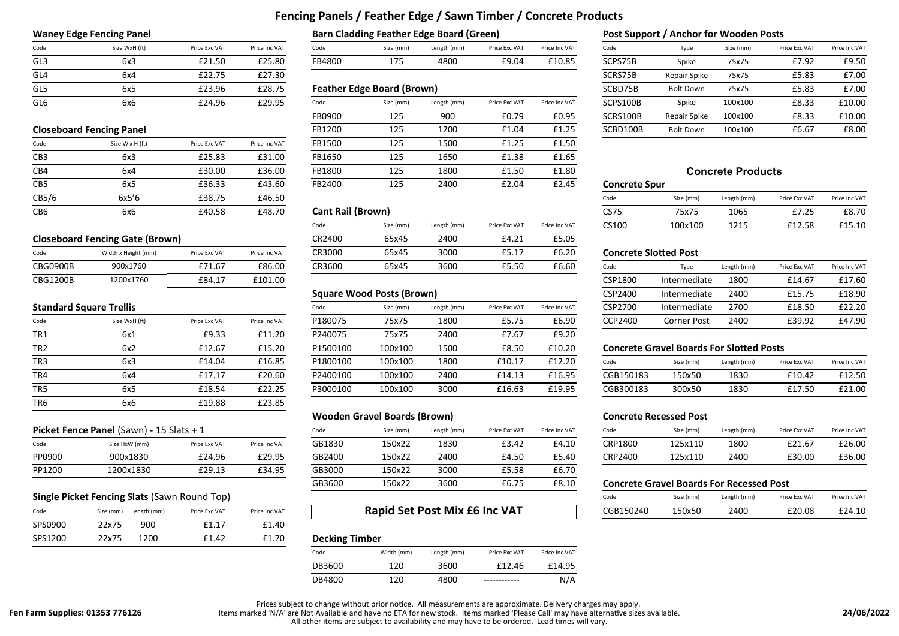# **Fencing Panels / Feather Edge / Sawn Timber / Concrete Products**

| Code            | Size WxH (ft) | Price Exc VAT | Price Inc VAT |
|-----------------|---------------|---------------|---------------|
| GL3             | 6x3           | £21.50        | £25.80        |
| GL <sub>4</sub> | 6x4           | £22.75        | £27.30        |
| GL5             | 6x5           | £23.96        | £28.75        |
| GL6             | 6x6           | £24.96        | £29.95        |

### **Closeboard Fencing Panel**

| Code            | Size W x H (ft) | Price Exc VAT | Price Inc VAT |
|-----------------|-----------------|---------------|---------------|
| CB <sub>3</sub> | 6x3             | £25.83        | £31.00        |
| CB4             | 6x4             | £30.00        | £36.00        |
| CB <sub>5</sub> | 6x5             | £36.33        | £43.60        |
| CB5/6           | 6x5'6           | £38.75        | £46.50        |
| CB <sub>6</sub> | 6x6             | £40.58        | £48.70        |

## **Closeboard Fencing Gate (Brown)**

| Code     | Width x Height (mm) | Price Exc VAT | Price Inc VAT |
|----------|---------------------|---------------|---------------|
| CBG0900B | 900x1760            | £71.67        | £86.00        |
| CBG1200B | 1200x1760           | F84.17        | £101.00       |

## **Standard Square Trellis**

| Code            | Size WxH (ft) | Price Exc VAT | Price Inc VAT |
|-----------------|---------------|---------------|---------------|
| TR <sub>1</sub> | 6x1           | £9.33         | £11.20        |
| TR <sub>2</sub> | 6x2           | £12.67        | £15.20        |
| TR <sub>3</sub> | 6x3           | £14.04        | £16.85        |
| TR4             | 6x4           | £17.17        | £20.60        |
| TR <sub>5</sub> | 6x5           | £18.54        | £22.25        |
| TR <sub>6</sub> | 6x6           | £19.88        | £23.85        |

### **Picket Fence Panel** (Sawn) **-** 15 Slats + 1

| Code   | Size HxW (mm) | Price Exc VAT | Price Inc VAT |
|--------|---------------|---------------|---------------|
| PP0900 | 900x1830      | £24.96        | £29.95        |
| PP1200 | 1200x1830     | £29.13        | £34.95        |

## **Single Picket Fencing Slats** (Sawn Round Top)

| Code    |       | Size (mm) Length (mm) | Price Exc VAT | Price Inc VAT |
|---------|-------|-----------------------|---------------|---------------|
| SPS0900 | 22x75 | 900                   | f1 17         | £1.40         |
| SPS1200 | 22x75 | 1200                  | f1 42         | £1.70         |

### **Waney Edge Fencing Panel Barn Cladding Feather Edge Board (Green) Post Support / Anchor for Wooden Posts**

| Code                 | Size WxH (ft) | Price Exc VAT | Price Inc VAT | Code   | Size (mm) | Length (mm) | Price Exc VAT | Price Inc VAT | Code    | Tvpe  | Size (mm) | Price Exc VAT | Price Inc VAT |
|----------------------|---------------|---------------|---------------|--------|-----------|-------------|---------------|---------------|---------|-------|-----------|---------------|---------------|
| $\sim$ $\sim$<br>ځات | 6x.           | £21.50        | £25.80        | FB4800 | 175       | 4800        | £9.04         | £10.85        | SCPS75B | Spike | 75x75     | F7 97<br>1.JZ | 49 50<br>レン・ノ |

### Feather Edge Board (Brown)

| GL6  | 6x6                             | £24.96        | £29.95        | Code   | Size (mm) | Length (mm) | Price Exc VAT | Price Inc VAT | SCPS100B             | Spike            | 100x100                  | £8.33 | £10.00 |
|------|---------------------------------|---------------|---------------|--------|-----------|-------------|---------------|---------------|----------------------|------------------|--------------------------|-------|--------|
|      |                                 |               |               | FB0900 | 125       | 900         | £0.79         | £0.95         | SCRS100B             | Repair Spike     | 100x100                  | £8.33 | £10.00 |
|      | <b>Closeboard Fencing Panel</b> |               |               | FB1200 | 125       | 1200        | £1.04         | £1.25         | SCBD100B             | <b>Bolt Down</b> | 100x100                  | £6.67 | £8.00  |
| Code | Size W x H (ft)                 | Price Exc VAT | Price Inc VAT | FB1500 | 125       | 1500        | £1.25         | £1.50         |                      |                  |                          |       |        |
| CB3  | 6x3                             | £25.83        | £31.00        | FB1650 | 125       | 1650        | £1.38         | £1.65         |                      |                  |                          |       |        |
| CB4  | 6x4                             | £30.00        | £36.00        | FB1800 | 125       | 1800        | £1.50         | £1.80         |                      |                  | <b>Concrete Products</b> |       |        |
| CB5  | 6x5                             | £36.33        | £43.60        | FB2400 | 125       | 2400        | £2.04         | £2.45         | <b>Concrete Spur</b> |                  |                          |       |        |
|      |                                 |               |               |        |           |             |               |               |                      |                  |                          |       |        |

|          |                                        |               |               | Code   | Size (mm) | Length (mm) | Price Exc VAT | Price Inc VAT | CS100 | 100x100               | 1215        | £12.58        | £15.10        |
|----------|----------------------------------------|---------------|---------------|--------|-----------|-------------|---------------|---------------|-------|-----------------------|-------------|---------------|---------------|
|          | <b>Closeboard Fencing Gate (Brown)</b> |               |               | CR2400 | 65x45     | 2400        | £4.21         | £5.05         |       |                       |             |               |               |
| Code     | Width x Height (mm)                    | Price Exc VAT | Price Inc VAT | CR3000 | 65x45     | 3000        | $\angle 5.1$  | £6.20         |       | Concrete Slotted Post |             |               |               |
| CBG0900B | 900x1760                               | £71.67        | £86.00        | CR3600 | 65x45     | 3600        | £5.50         | £6.60         | Code  | Type                  | Length (mm) | Price Exc VAT | Price Inc VAT |

## **Square Wood Posts (Brown)**

|      | Standard Square Trellis |               |               | Code     | Size (mm) | Length (mm) | Price Exc VAT | Price Inc VAT | CSP2700   | Intermediate                                    | 2700        | £18.50        | £22.20        |
|------|-------------------------|---------------|---------------|----------|-----------|-------------|---------------|---------------|-----------|-------------------------------------------------|-------------|---------------|---------------|
| Code | Size WxH (ft)           | Price Exc VAT | Price Inc VAT | P180075  | 75x75     | 1800        | £5.75         | £6.90         | CCP2400   | Corner Post                                     | 2400        | £39.92        | £47.90        |
| TR1  | 6x1                     | £9.33         | £11.20        | P240075  | 75x75     | 2400        | £7.67         | £9.20         |           |                                                 |             |               |               |
| TR2  | 6x2                     | £12.67        | £15.20        | P1500100 | 100x100   | 1500        | £8.50         | £10.20        |           | <b>Concrete Gravel Boards For Slotted Posts</b> |             |               |               |
| TR3  | 6x3                     | £14.04        | £16.85        | P1800100 | 100x100   | 1800        | £10.17        | £12.20        | Code      | Size (mm)                                       | Length (mm) | Price Exc VAT | Price Inc VAT |
| TR4  | 6x4                     | £17.17        | £20.60        | P2400100 | 100x100   | 2400        | £14.13        | £16.95        | CGB150183 | 150x50                                          | 1830        | £10.42        | £12.50        |
| TR5  | 6x5                     | £18.54        | £22.25        | P3000100 | 100x100   | 3000        | £16.63        | £19.95        | CGB300183 | 300x50                                          | 1830        | £17.50        | £21.00        |
|      |                         |               |               |          |           |             |               |               |           |                                                 |             |               |               |

### **Wooden Gravel Boards (Brown) Concrete Recessed Post**

|        | Picket Fence Panel (Sawn) - 15 Slats + 1 |               |               | Code   | Size (mm) | Length (mm) | Price Exc VAT | Price Inc VAT | Code    | Size (mm                                        | Length (mm) | Price Exc VAT | Price Inc VAT |
|--------|------------------------------------------|---------------|---------------|--------|-----------|-------------|---------------|---------------|---------|-------------------------------------------------|-------------|---------------|---------------|
| Code   | Size HxW (mm)                            | Price Exc VAT | Price Inc VAT | GB1830 | 150x22    | 1830        | £3.42         | £4.10         | CRP1800 | 125x110                                         | 1800        | £21.67        | £26.00        |
| PP0900 | 900x1830                                 | £24.96        | £29.95        | GB2400 | 150x22    | 2400        | £4.50         | £5.40         | CRP2400 | 125x110                                         | 2400        | £30.00        | £36.00        |
| PP1200 | 1200x1830                                | £29.13        | £34.95        | GB3000 | 150x22    | 3000        | £5.58         | £6.70         |         |                                                 |             |               |               |
|        |                                          |               |               | GB3600 | 150x22    | 3600        | £6.75         | £8.10         |         | <b>Concrete Gravel Boards For Recessed Post</b> |             |               |               |

# Rapid Set Post Mix £6 Inc VAT

### **Decking Timber**

| Code   | Width (mm) | Length (mm) | Price Exc VAT | Price Inc VAT |
|--------|------------|-------------|---------------|---------------|
| DB3600 | 120        | 3600        | £12.46        | £14.95        |
| DB4800 | 120        | 4800        | ---------     | N/A           |

| Code | Size WxH (ft)                   | Price Exc VAT | Price Inc VAT | Code   | Size (mm)                         | Length (mm) | Price Exc VAT | Price Inc VAT | Code     | Type             | Size (mm) | Price Exc VAT | Price Inc VAT |
|------|---------------------------------|---------------|---------------|--------|-----------------------------------|-------------|---------------|---------------|----------|------------------|-----------|---------------|---------------|
| GL3  | 6x3                             | £21.50        | £25.80        | FB4800 | 175                               | 4800        | £9.04         | £10.85        | SCPS75B  | Spike            | 75x75     | £7.92         | £9.50         |
| GL4  | 6x4                             | £22.75        | £27.30        |        |                                   |             |               |               | SCRS75B  | Repair Spike     | 75x75     | £5.83         | £7.00         |
| GL5  | 6x5                             | £23.96        | £28.75        |        | <b>Feather Edge Board (Brown)</b> |             |               |               | SCBD75B  | <b>Bolt Down</b> | 75x75     | £5.83         | £7.00         |
| GL6  | 6x6                             | £24.96        | £29.95        | Code   | Size (mm)                         | Length (mm) | Price Exc VAT | Price Inc VAT | SCPS100B | Spike            | 100x100   | £8.33         | £10.00        |
|      |                                 |               |               | FB0900 | 125                               | 900         | £0.79         | £0.95         | SCRS100B | Repair Spike     | 100x100   | £8.33         | £10.00        |
|      | <b>Closeboard Fencing Panel</b> |               |               | FB1200 | 125                               | 1200        | £1.04         | £1.25         | SCBD100B | <b>Bolt Down</b> | 100x100   | £6.67         | £8.00         |

## **Concrete Products**

| CB5/6 | 6x5'6 | $0.20 \pm 0.00$<br>L38./5 | £46.50 |                          |          |            |               |               | Code        | Size (mm) | Length (mm) | Price Exc VAT      | Price Inc VAT                   |
|-------|-------|---------------------------|--------|--------------------------|----------|------------|---------------|---------------|-------------|-----------|-------------|--------------------|---------------------------------|
| CB6   | oxo   | £40.58                    | £48.70 | <b>Cant Rail (Brown)</b> |          |            |               |               | <b>CS75</b> | 75x75     | 1065        | $- - - -$<br>17.LJ | $\sim$ $\sim$<br>- - -<br>£8.70 |
|       |       |                           |        | Code                     | Size (mm | Length (mm | Price Exc VAT | Price Inc VAT | CS100       | 100x100   | 1215        | £12.58             | £15.10                          |

### **Concrete Slotted Post**

| CBG0900B                       | 900x1760      | £71.67        | £86.00        | CR3600  | 65x45                            | 3600        | £5.50         | £6.60         | Code    | Type         | Length (mm) | Price Exc VAT | Price Inc VAT |
|--------------------------------|---------------|---------------|---------------|---------|----------------------------------|-------------|---------------|---------------|---------|--------------|-------------|---------------|---------------|
| CBG1200B                       | 1200x1760     | £84.17        | £101.00       |         |                                  |             |               |               | CSP1800 | Intermediate | 1800        | £14.67        | £17.60        |
|                                |               |               |               |         | <b>Square Wood Posts (Brown)</b> |             |               |               | CSP2400 | Intermediate | 2400        | £15.75        | £18.90        |
| <b>Standard Square Trellis</b> |               |               |               | Code    | Size (mm)                        | Length (mm) | Price Exc VAT | Price Inc VAT | CSP2700 | Intermediate | 2700        | £18.50        | £22.20        |
| Code                           | Size WxH (ft) | Price Exc VAT | Price Inc VAT | P180075 | 75x75                            | 1800        | £5.75         | £6.90         | CCP2400 | Corner Post  | 2400        | £39.92        | £47.90        |

### **Concrete Gravel Boards For Slotted Posts**

| Code      | Size (mm) | Length (mm) | Price Exc VAT | Price Inc VAT |
|-----------|-----------|-------------|---------------|---------------|
| CGB150183 | 150x50    | 1830        | £10.42        | £12.50        |
| CGB300183 | 300x50    | 1830        | £17.50        | £21.00        |

| Code    | Size (mm) | Length (mm) | Price Exc VAT | Price Inc VAT |
|---------|-----------|-------------|---------------|---------------|
| CRP1800 | 125x110   | 1800        | £21.67        | £26.00        |
| CRP2400 | 125x110   | 2400        | £30.00        | £36.00        |

### GB3600 150x22 3600 £6.75 £8.10 **Concrete Gravel Boards For Recessed Post**

| Code      | Size (mm) | Length (mm) | Price Exc VAT | Price Inc VAT |
|-----------|-----------|-------------|---------------|---------------|
| CGB150240 | 150x50    | 2400        | £20.08        | £24.10        |

Prices subject to change without prior notice. All measurements are approximate. Delivery charges may apply.

Items marked 'N/A' are Not Available and have no ETA for new stock. Items marked 'Please Call' may have alternative sizes available.

All other items are subject to availability and may have to be ordered. Lead times will vary.